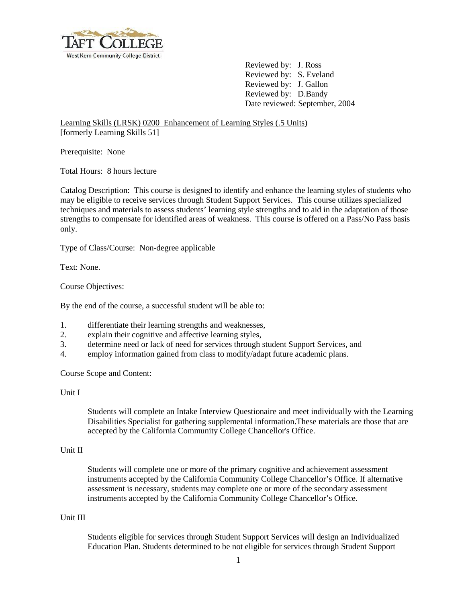

Reviewed by: J. Ross Reviewed by: S. Eveland Reviewed by: J. Gallon Reviewed by: D.Bandy Date reviewed: September, 2004

Learning Skills (LRSK) 0200 Enhancement of Learning Styles (.5 Units) [formerly Learning Skills 51]

Prerequisite: None

Total Hours: 8 hours lecture

Catalog Description: This course is designed to identify and enhance the learning styles of students who may be eligible to receive services through Student Support Services. This course utilizes specialized techniques and materials to assess students' learning style strengths and to aid in the adaptation of those strengths to compensate for identified areas of weakness. This course is offered on a Pass/No Pass basis only.

Type of Class/Course: Non-degree applicable

Text: None.

Course Objectives:

By the end of the course, a successful student will be able to:

- 1. differentiate their learning strengths and weaknesses,
- 2. explain their cognitive and affective learning styles,
- 3. determine need or lack of need for services through student Support Services, and
- 4. employ information gained from class to modify/adapt future academic plans.

Course Scope and Content:

## Unit I

Students will complete an Intake Interview Questionaire and meet individually with the Learning Disabilities Specialist for gathering supplemental information.These materials are those that are accepted by the California Community College Chancellor's Office.

## Unit II

Students will complete one or more of the primary cognitive and achievement assessment instruments accepted by the California Community College Chancellor's Office. If alternative assessment is necessary, students may complete one or more of the secondary assessment instruments accepted by the California Community College Chancellor's Office.

## Unit III

Students eligible for services through Student Support Services will design an Individualized Education Plan. Students determined to be not eligible for services through Student Support